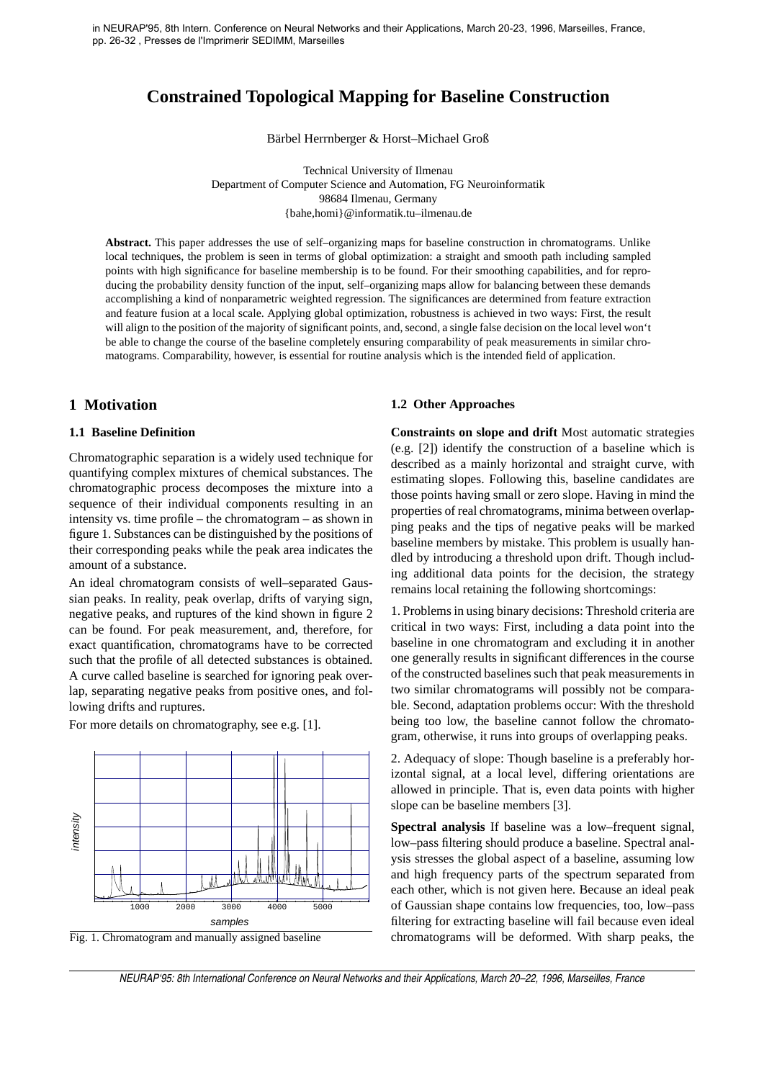# **Constrained Topological Mapping for Baseline Construction**

Bärbel Herrnberger & Horst–Michael Groß

Technical University of Ilmenau Department of Computer Science and Automation, FG Neuroinformatik 98684 Ilmenau, Germany {bahe,homi}@informatik.tu–ilmenau.de

**Abstract.** This paper addresses the use of self–organizing maps for baseline construction in chromatograms. Unlike local techniques, the problem is seen in terms of global optimization: a straight and smooth path including sampled points with high significance for baseline membership is to be found. For their smoothing capabilities, and for reproducing the probability density function of the input, self–organizing maps allow for balancing between these demands accomplishing a kind of nonparametric weighted regression. The significances are determined from feature extraction and feature fusion at a local scale. Applying global optimization, robustness is achieved in two ways: First, the result will align to the position of the majority of significant points, and, second, a single false decision on the local level won't be able to change the course of the baseline completely ensuring comparability of peak measurements in similar chromatograms. Comparability, however, is essential for routine analysis which is the intended field of application.

## **1 Motivation**

### **1.1 Baseline Definition**

Chromatographic separation is a widely used technique for quantifying complex mixtures of chemical substances. The chromatographic process decomposes the mixture into a sequence of their individual components resulting in an intensity vs. time profile – the chromatogram – as shown in figure 1. Substances can be distinguished by the positions of their corresponding peaks while the peak area indicates the amount of a substance.

An ideal chromatogram consists of well–separated Gaussian peaks. In reality, peak overlap, drifts of varying sign, negative peaks, and ruptures of the kind shown in figure 2 can be found. For peak measurement, and, therefore, for exact quantification, chromatograms have to be corrected such that the profile of all detected substances is obtained. A curve called baseline is searched for ignoring peak overlap, separating negative peaks from positive ones, and following drifts and ruptures.

For more details on chromatography, see e.g. [1].





#### **1.2 Other Approaches**

**Constraints on slope and drift** Most automatic strategies (e.g. [2]) identify the construction of a baseline which is described as a mainly horizontal and straight curve, with estimating slopes. Following this, baseline candidates are those points having small or zero slope. Having in mind the properties of real chromatograms, minima between overlapping peaks and the tips of negative peaks will be marked baseline members by mistake. This problem is usually handled by introducing a threshold upon drift. Though including additional data points for the decision, the strategy remains local retaining the following shortcomings:

1. Problems in using binary decisions: Threshold criteria are critical in two ways: First, including a data point into the baseline in one chromatogram and excluding it in another one generally results in significant differences in the course of the constructed baselines such that peak measurements in two similar chromatograms will possibly not be comparable. Second, adaptation problems occur: With the threshold being too low, the baseline cannot follow the chromatogram, otherwise, it runs into groups of overlapping peaks.

2. Adequacy of slope: Though baseline is a preferably horizontal signal, at a local level, differing orientations are allowed in principle. That is, even data points with higher slope can be baseline members [3].

**Spectral analysis** If baseline was a low–frequent signal, low–pass filtering should produce a baseline. Spectral analysis stresses the global aspect of a baseline, assuming low and high frequency parts of the spectrum separated from each other, which is not given here. Because an ideal peak of Gaussian shape contains low frequencies, too, low–pass filtering for extracting baseline will fail because even ideal chromatograms will be deformed. With sharp peaks, the

NEURAP'95: 8th International Conference on Neural Networks and their Applications, March 20–22, 1996, Marseilles, France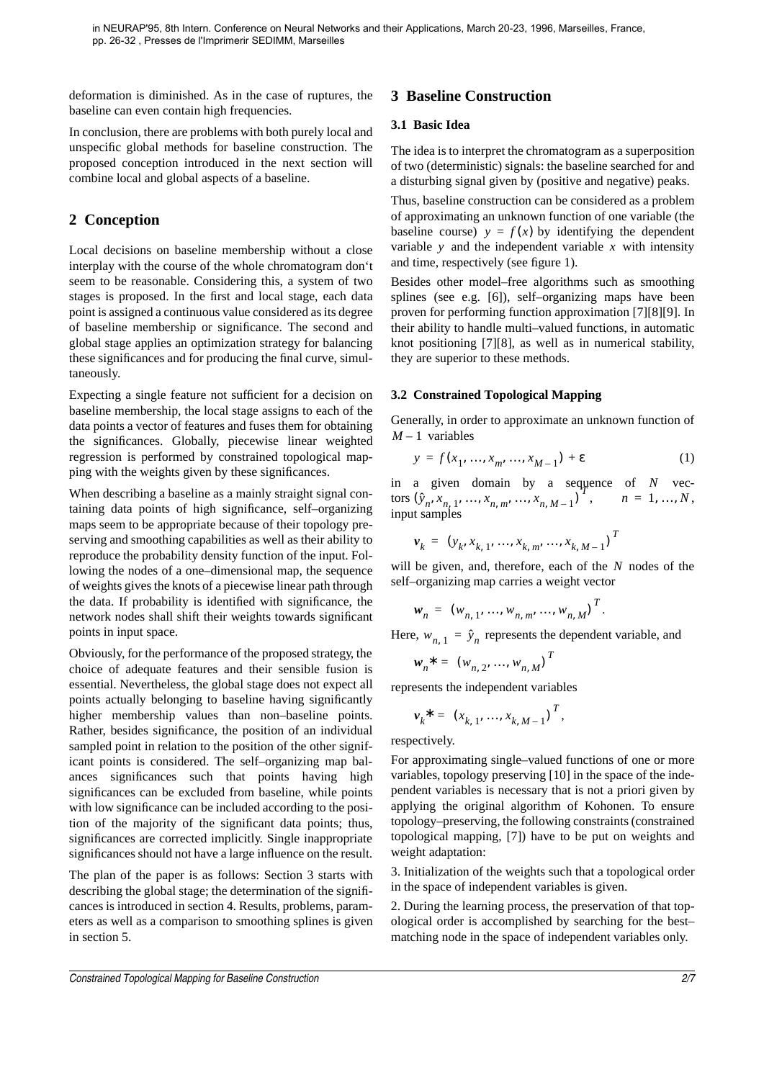deformation is diminished. As in the case of ruptures, the baseline can even contain high frequencies.

In conclusion, there are problems with both purely local and unspecific global methods for baseline construction. The proposed conception introduced in the next section will combine local and global aspects of a baseline.

# **2 Conception**

Local decisions on baseline membership without a close interplay with the course of the whole chromatogram don't seem to be reasonable. Considering this, a system of two stages is proposed. In the first and local stage, each data point is assigned a continuous value considered as its degree of baseline membership or significance. The second and global stage applies an optimization strategy for balancing these significances and for producing the final curve, simultaneously.

Expecting a single feature not sufficient for a decision on baseline membership, the local stage assigns to each of the data points a vector of features and fuses them for obtaining the significances. Globally, piecewise linear weighted regression is performed by constrained topological mapping with the weights given by these significances.

When describing a baseline as a mainly straight signal containing data points of high significance, self–organizing maps seem to be appropriate because of their topology preserving and smoothing capabilities as well as their ability to reproduce the probability density function of the input. Following the nodes of a one–dimensional map, the sequence of weights gives the knots of a piecewise linear path through the data. If probability is identified with significance, the network nodes shall shift their weights towards significant points in input space.

Obviously, for the performance of the proposed strategy, the choice of adequate features and their sensible fusion is essential. Nevertheless, the global stage does not expect all points actually belonging to baseline having significantly higher membership values than non–baseline points. Rather, besides significance, the position of an individual sampled point in relation to the position of the other significant points is considered. The self–organizing map balances significances such that points having high significances can be excluded from baseline, while points with low significance can be included according to the position of the majority of the significant data points; thus, significances are corrected implicitly. Single inappropriate significances should not have a large influence on the result.

The plan of the paper is as follows: Section 3 starts with describing the global stage; the determination of the significances is introduced in section 4. Results, problems, parameters as well as a comparison to smoothing splines is given in section 5.

# **3 Baseline Construction**

## **3.1 Basic Idea**

The idea is to interpret the chromatogram as a superposition of two (deterministic) signals: the baseline searched for and a disturbing signal given by (positive and negative) peaks.

Thus, baseline construction can be considered as a problem of approximating an unknown function of one variable (the baseline course)  $y = f(x)$  by identifying the dependent variable y and the independent variable x with intensity and time, respectively (see figure 1).

Besides other model–free algorithms such as smoothing splines (see e.g. [6]), self–organizing maps have been proven for performing function approximation [7][8][9]. In their ability to handle multi–valued functions, in automatic knot positioning [7][8], as well as in numerical stability, they are superior to these methods.

## **3.2 Constrained Topological Mapping**

Generally, in order to approximate an unknown function of  $M-1$  variables

$$
y = f(x_1, ..., x_m, ..., x_{M-1}) + \varepsilon
$$
 (1)

in a given domain by a sequence of  $N$  vectors  $(\hat{y}_n, x_{n-1}, ..., x_{n-m}, ..., x_{n-M-1})$ ,  $n = 1, ..., N$ , input samples  $(\hat{y}_n, x_{n,1}, ..., x_{n,m}, ..., x_{n,M-1})^T$ ,  $n = 1, ..., N$ 

$$
\mathbf{v}_{k} = (y_{k}, x_{k, 1}, ..., x_{k, m}, ..., x_{k, M-1})^{T}
$$

will be given, and, therefore, each of the  $N$  nodes of the self–organizing map carries a weight vector

$$
\mathbf{w}_n = (w_{n, 1}, ..., w_{n, m}, ..., w_{n, M})^T.
$$

Here,  $w_{n, 1} = \hat{y}_n$  represents the dependent variable, and

$$
w_n^* = (w_{n,2}, ..., w_{n,M})^T
$$

represents the independent variables

$$
\mathbf{v}_{k}^{*} = (x_{k, 1}, ..., x_{k, M-1})^{T},
$$

respectively.

For approximating single–valued functions of one or more variables, topology preserving [10] in the space of the independent variables is necessary that is not a priori given by applying the original algorithm of Kohonen. To ensure topology–preserving, the following constraints (constrained topological mapping, [7]) have to be put on weights and weight adaptation:

3. Initialization of the weights such that a topological order in the space of independent variables is given.

2. During the learning process, the preservation of that topological order is accomplished by searching for the best– matching node in the space of independent variables only.

Constrained Topological Mapping for Baseline Construction 2/7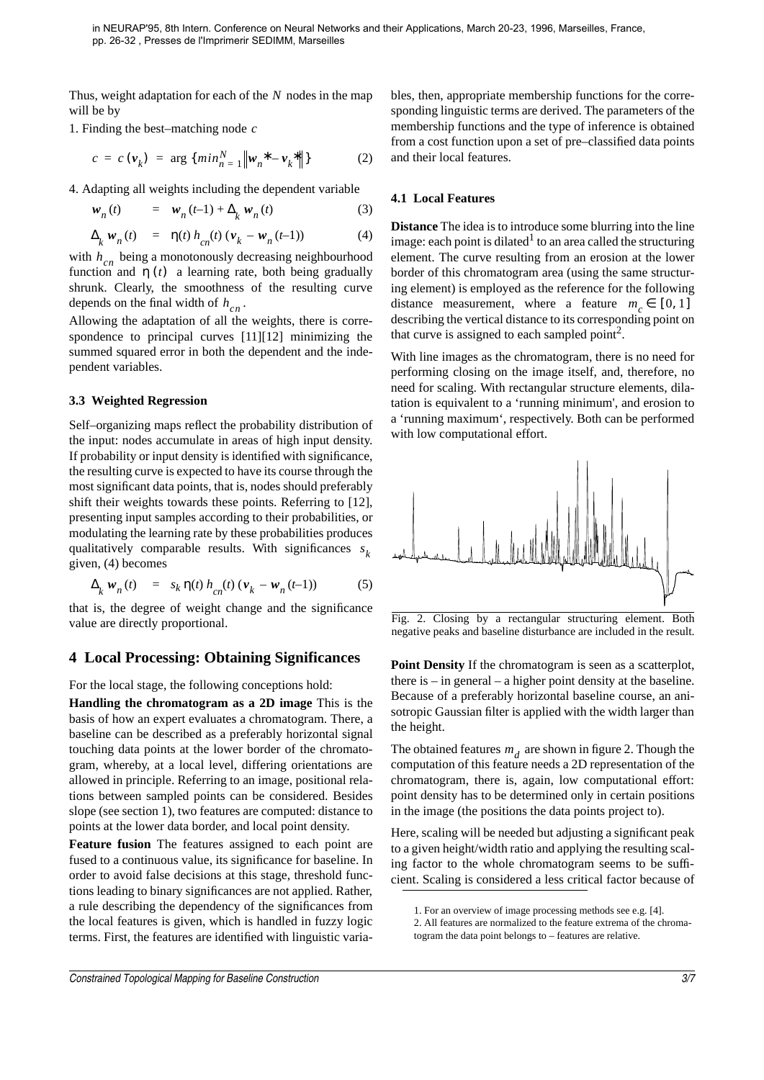Thus, weight adaptation for each of the N nodes in the map will be by

1. Finding the best–matching node *c*

$$
c = c \left( \mathbf{v}_k \right) = \arg \{ \min_{n=1}^{N} \left\| \mathbf{w}_n^* - \mathbf{v}_k^* \right\| \} \tag{2}
$$

4. Adapting all weights including the dependent variable

$$
w_n(t) = w_n(t-1) + \Delta_k w_n(t) \tag{3}
$$

$$
\Delta_{k} \mathbf{w}_{n}(t) = \eta(t) h_{cn}(t) \left( \mathbf{v}_{k} - \mathbf{w}_{n}(t-1) \right) \tag{4}
$$

with  $h_{cn}$  being a monotonously decreasing neighbourhood function and  $\eta(t)$  a learning rate, both being gradually shrunk. Clearly, the smoothness of the resulting curve depends on the final width of  $h_{cn}$ .

Allowing the adaptation of all the weights, there is correspondence to principal curves [11][12] minimizing the summed squared error in both the dependent and the independent variables.

#### **3.3 Weighted Regression**

Self–organizing maps reflect the probability distribution of the input: nodes accumulate in areas of high input density. If probability or input density is identified with significance, the resulting curve is expected to have its course through the most significant data points, that is, nodes should preferably shift their weights towards these points. Referring to [12], presenting input samples according to their probabilities, or modulating the learning rate by these probabilities produces qualitatively comparable results. With significances *s k* given, (4) becomes

$$
\Delta_{k} \mathbf{w}_{n}(t) = s_{k} \eta(t) h_{cn}(t) \left( \mathbf{v}_{k} - \mathbf{w}_{n}(t-1) \right) \tag{5}
$$

that is, the degree of weight change and the significance value are directly proportional.

### **4 Local Processing: Obtaining Significances**

For the local stage, the following conceptions hold:

**Handling the chromatogram as a 2D image** This is the basis of how an expert evaluates a chromatogram. There, a baseline can be described as a preferably horizontal signal touching data points at the lower border of the chromatogram, whereby, at a local level, differing orientations are allowed in principle. Referring to an image, positional relations between sampled points can be considered. Besides slope (see section 1), two features are computed: distance to points at the lower data border, and local point density.

**Feature fusion** The features assigned to each point are fused to a continuous value, its significance for baseline. In order to avoid false decisions at this stage, threshold functions leading to binary significances are not applied. Rather, a rule describing the dependency of the significances from the local features is given, which is handled in fuzzy logic terms. First, the features are identified with linguistic variables, then, appropriate membership functions for the corresponding linguistic terms are derived. The parameters of the membership functions and the type of inference is obtained from a cost function upon a set of pre–classified data points and their local features.

#### **4.1 Local Features**

**Distance** The idea is to introduce some blurring into the line image: each point is dilated $<sup>1</sup>$  to an area called the structuring</sup> element. The curve resulting from an erosion at the lower border of this chromatogram area (using the same structuring element) is employed as the reference for the following distance measurement, where a feature  $m_c \in [0, 1]$ describing the vertical distance to its corresponding point on that curve is assigned to each sampled point<sup>2</sup>.

With line images as the chromatogram, there is no need for performing closing on the image itself, and, therefore, no need for scaling. With rectangular structure elements, dilatation is equivalent to a 'running minimum', and erosion to a 'running maximum', respectively. Both can be performed with low computational effort.



Fig. 2. Closing by a rectangular structuring element. Both negative peaks and baseline disturbance are included in the result.

**Point Density** If the chromatogram is seen as a scatterplot, there is – in general – a higher point density at the baseline. Because of a preferably horizontal baseline course, an anisotropic Gaussian filter is applied with the width larger than the height.

The obtained features  $m_d$  are shown in figure 2. Though the computation of this feature needs a 2D representation of the chromatogram, there is, again, low computational effort: point density has to be determined only in certain positions in the image (the positions the data points project to).

Here, scaling will be needed but adjusting a significant peak to a given height/width ratio and applying the resulting scaling factor to the whole chromatogram seems to be sufficient. Scaling is considered a less critical factor because of

Constrained Topological Mapping for Baseline Construction 3/7

<sup>1.</sup> For an overview of image processing methods see e.g. [4].

<sup>2.</sup> All features are normalized to the feature extrema of the chromatogram the data point belongs to – features are relative.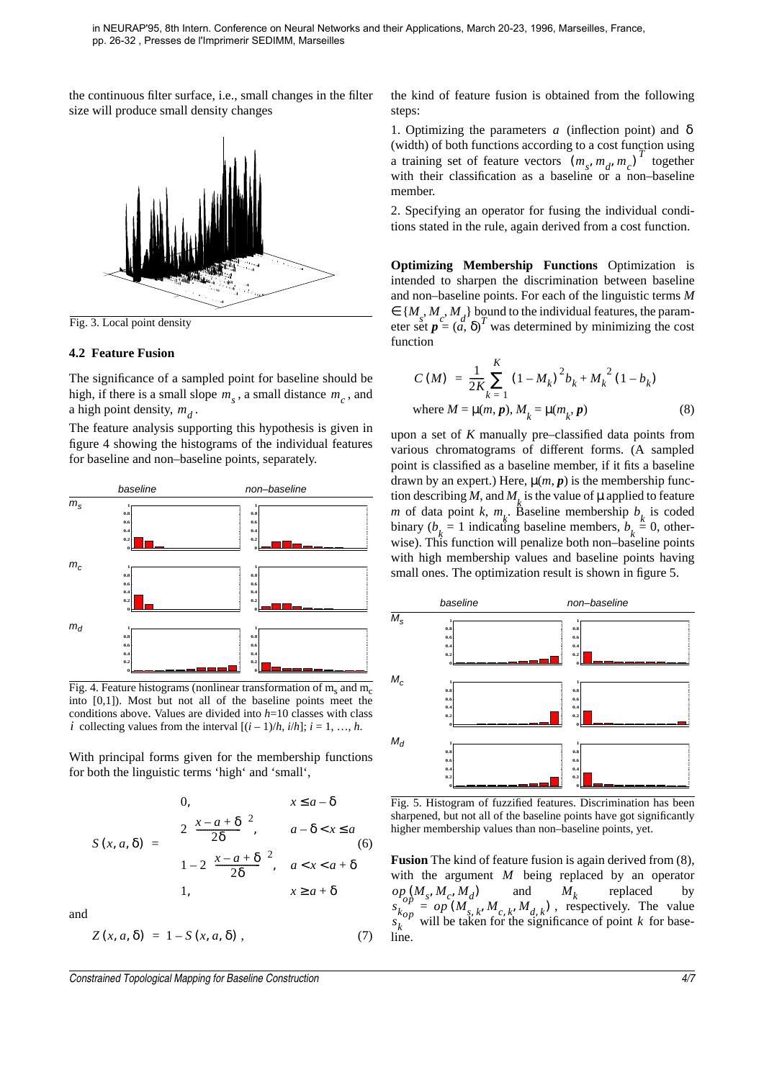the continuous filter surface, i.e., small changes in the filter size will produce small density changes



Fig. 3. Local point density

#### **4.2 Feature Fusion**

The significance of a sampled point for baseline should be high, if there is a small slope  $m<sub>s</sub>$ , a small distance  $m<sub>c</sub>$ , and a high point density,  $m_d$ .

The feature analysis supporting this hypothesis is given in figure 4 showing the histograms of the individual features for baseline and non–baseline points, separately.



Fig. 4. Feature histograms (nonlinear transformation of  $m_s$  and  $m_c$ into [0,1]). Most but not all of the baseline points meet the conditions above. Values are divided into *h*=10 classes with class *i* collecting values from the interval  $[(i-1)/h, i/h]$ ;  $i = 1, ..., h$ .

With principal forms given for the membership functions for both the linguistic terms 'high' and 'small',

$$
S(x, a, \delta) = \begin{cases} 0, & x \leq a - \delta \\ 2\left(\frac{x - a + \delta}{2\delta}\right)^2, & a - \delta < x \leq a \\ 1 - 2\left(\frac{x - a + \delta}{2\delta}\right)^2, & a < x < a + \delta \\ 1, & x \geq a + \delta \end{cases} \tag{6}
$$

and

$$
Z(x, a, \delta) = 1 - S(x, a, \delta) , \qquad (7)
$$

Constrained Topological Mapping for Baseline Construction 4/7

the kind of feature fusion is obtained from the following steps:

1. Optimizing the parameters  $a$  (inflection point) and  $\delta$ (width) of both functions according to a cost function using a training set of feature vectors  $(m_s, m_d, m_c)^T$  together with their classification as a baseline or a non-baseline member.

2. Specifying an operator for fusing the individual conditions stated in the rule, again derived from a cost function.

**Optimizing Membership Functions** Optimization is intended to sharpen the discrimination between baseline and non–baseline points. For each of the linguistic terms *M*  $\in \{M_s, M_c, M_d\}$  bound to the individual features, the parameter set  $p = (a, \delta)^T$  was determined by minimizing the cost function

$$
C(M) = \frac{1}{2K} \sum_{k=1}^{K} (1 - M_k)^2 b_k + M_k^2 (1 - b_k)
$$
  
where  $M = \mu(m, p), M_k = \mu(m_k, p)$  (8)

upon a set of *K* manually pre–classified data points from various chromatograms of different forms. (A sampled point is classified as a baseline member, if it fits a baseline drawn by an expert.) Here,  $\mu(m, p)$  is the membership function describing *M*, and *M*<sub>k</sub> is the value of  $\mu$  applied to feature *m* of data point *k*,  $m_k$ . Baseline membership  $b_k$  is coded binary (*b*<sub>*k*</sub> = 1 indicating baseline members, *b*<sub>*k*</sub> = 0, otherwise). This function will penalize both non–baseline points with high membership values and baseline points having small ones. The optimization result is shown in figure 5.



Fig. 5. Histogram of fuzzified features. Discrimination has been sharpened, but not all of the baseline points have got significantly higher membership values than non–baseline points, yet.

**Fusion** The kind of feature fusion is again derived from (8), with the argument  $M$  being replaced by an operator and  $M_k$  replaced by , respectively. The value will be taken for the significance of point  $k$  for baseline.  $op_{op}^{C} (M_s, M_c, M_d)$  $(M_s, M_c, M_d)$  and  $M_k$ *s k*  $\overrightarrow{op} = \overrightarrow{op} (M_{s, k}, M_{c, k}, M_{d, k})$  $s_k^{k}$  will be taken for the significance of point k *k*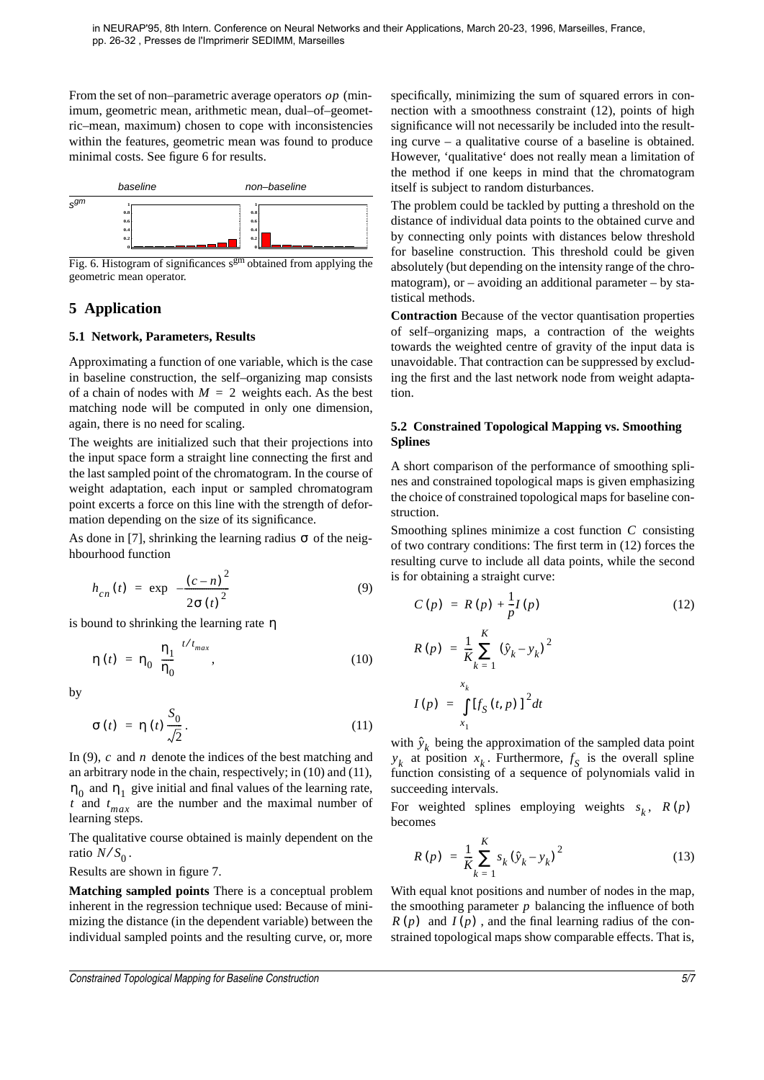From the set of non-parametric average operators  $op$  (minimum, geometric mean, arithmetic mean, dual–of–geometric–mean, maximum) chosen to cope with inconsistencies within the features, geometric mean was found to produce minimal costs. See figure 6 for results.



Fig. 6. Histogram of significances  $s<sup>gm</sup>$  obtained from applying the geometric mean operator.

# **5 Application**

### **5.1 Network, Parameters, Results**

Approximating a function of one variable, which is the case in baseline construction, the self–organizing map consists of a chain of nodes with  $M = 2$  weights each. As the best matching node will be computed in only one dimension, again, there is no need for scaling.

The weights are initialized such that their projections into the input space form a straight line connecting the first and the last sampled point of the chromatogram. In the course of weight adaptation, each input or sampled chromatogram point excerts a force on this line with the strength of deformation depending on the size of its significance.

As done in [7], shrinking the learning radius  $\sigma$  of the neighbourhood function

$$
h_{cn}(t) = \exp\left(-\frac{(c-n)^2}{2\sigma(t)^2}\right)
$$
 (9)

is bound to shrinking the learning rate η

$$
\eta(t) = \eta_0 \left(\frac{\eta_1}{\eta_0}\right)^{t/t_{max}}, \qquad (10)
$$

by

$$
\sigma(t) = \eta(t) \frac{S_0}{\sqrt{2}}.
$$
 (11)

In (9),  $c$  and  $n$  denote the indices of the best matching and an arbitrary node in the chain, respectively; in (10) and (11),  $n_0$  and  $n_1$  give initial and final values of the learning rate, *t* and  $t_{max}$  are the number and the maximal number of learning steps.

The qualitative course obtained is mainly dependent on the ratio  $N/S_0$ . ⁄

Results are shown in figure 7.

**Matching sampled points** There is a conceptual problem inherent in the regression technique used: Because of minimizing the distance (in the dependent variable) between the individual sampled points and the resulting curve, or, more

specifically, minimizing the sum of squared errors in connection with a smoothness constraint (12), points of high significance will not necessarily be included into the resulting curve – a qualitative course of a baseline is obtained. However, 'qualitative' does not really mean a limitation of the method if one keeps in mind that the chromatogram itself is subject to random disturbances.

The problem could be tackled by putting a threshold on the distance of individual data points to the obtained curve and by connecting only points with distances below threshold for baseline construction. This threshold could be given absolutely (but depending on the intensity range of the chromatogram), or  $-$  avoiding an additional parameter  $-$  by statistical methods.

**Contraction** Because of the vector quantisation properties of self–organizing maps, a contraction of the weights towards the weighted centre of gravity of the input data is unavoidable. That contraction can be suppressed by excluding the first and the last network node from weight adaptation.

### **5.2 Constrained Topological Mapping vs. Smoothing Splines**

A short comparison of the performance of smoothing splines and constrained topological maps is given emphasizing the choice of constrained topological maps for baseline construction.

Smoothing splines minimize a cost function C consisting of two contrary conditions: The first term in (12) forces the resulting curve to include all data points, while the second is for obtaining a straight curve:

$$
C(p) = R(p) + \frac{1}{p}I(p)
$$
 (12)

$$
R(p) = \frac{1}{K} \sum_{k=1}^{K} (\hat{y}_k - y_k)^2
$$

$$
I(p) = \int_{x_1}^{x_k} [f_S(t, p)]^2 dt
$$

with  $\hat{y}_k$  being the approximation of the sampled data point  $y_k$  at position  $x_k$ . Furthermore,  $f_S$  is the overall spline function consisting of a sequence of polynomials valid in succeeding intervals.

For weighted splines employing weights  $s_k$ ,  $R(p)$ becomes

$$
R(p) = \frac{1}{K} \sum_{k=1}^{K} s_k (\hat{y}_k - y_k)^2
$$
 (13)

With equal knot positions and number of nodes in the map, the smoothing parameter  $p$  balancing the influence of both  $R(p)$  and  $I(p)$ , and the final learning radius of the constrained topological maps show comparable effects. That is,

Constrained Topological Mapping for Baseline Construction 5/7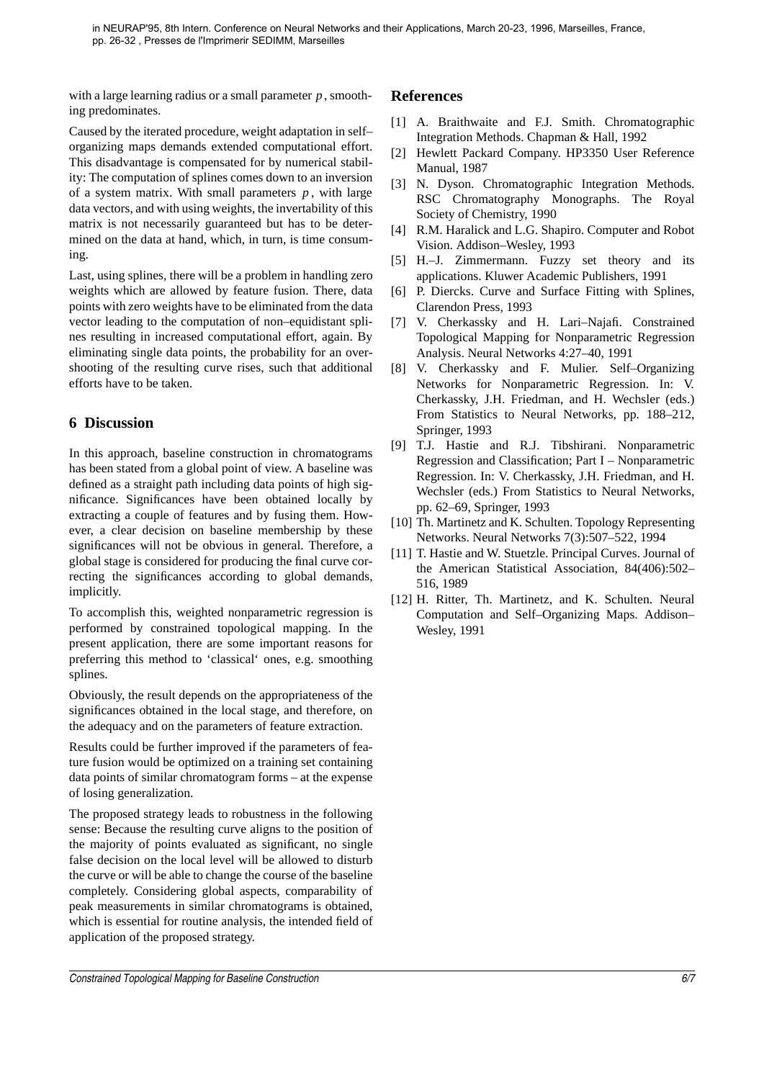with a large learning radius or a small parameter  $p$ , smoothing predominates.

Caused by the iterated procedure, weight adaptation in self– organizing maps demands extended computational effort. This disadvantage is compensated for by numerical stability: The computation of splines comes down to an inversion of a system matrix. With small parameters  $p$ , with large data vectors, and with using weights, the invertability of this matrix is not necessarily guaranteed but has to be determined on the data at hand, which, in turn, is time consuming.

Last, using splines, there will be a problem in handling zero weights which are allowed by feature fusion. There, data points with zero weights have to be eliminated from the data vector leading to the computation of non–equidistant splines resulting in increased computational effort, again. By eliminating single data points, the probability for an overshooting of the resulting curve rises, such that additional efforts have to be taken.

## **6 Discussion**

In this approach, baseline construction in chromatograms has been stated from a global point of view. A baseline was defined as a straight path including data points of high significance. Significances have been obtained locally by extracting a couple of features and by fusing them. However, a clear decision on baseline membership by these significances will not be obvious in general. Therefore, a global stage is considered for producing the final curve correcting the significances according to global demands, implicitly.

To accomplish this, weighted nonparametric regression is performed by constrained topological mapping. In the present application, there are some important reasons for preferring this method to 'classical' ones, e.g. smoothing splines.

Obviously, the result depends on the appropriateness of the significances obtained in the local stage, and therefore, on the adequacy and on the parameters of feature extraction.

Results could be further improved if the parameters of feature fusion would be optimized on a training set containing data points of similar chromatogram forms – at the expense of losing generalization.

The proposed strategy leads to robustness in the following sense: Because the resulting curve aligns to the position of the majority of points evaluated as significant, no single false decision on the local level will be allowed to disturb the curve or will be able to change the course of the baseline completely. Considering global aspects, comparability of peak measurements in similar chromatograms is obtained, which is essential for routine analysis, the intended field of application of the proposed strategy.

# **References**

- [1] A. Braithwaite and F.J. Smith. Chromatographic Integration Methods. Chapman & Hall, 1992
- [2] Hewlett Packard Company. HP3350 User Reference Manual, 1987
- [3] N. Dyson. Chromatographic Integration Methods. RSC Chromatography Monographs. The Royal Society of Chemistry, 1990
- [4] R.M. Haralick and L.G. Shapiro. Computer and Robot Vision. Addison–Wesley, 1993
- [5] H.–J. Zimmermann. Fuzzy set theory and its applications. Kluwer Academic Publishers, 1991
- [6] P. Diercks. Curve and Surface Fitting with Splines, Clarendon Press, 1993
- [7] V. Cherkassky and H. Lari–Najafi. Constrained Topological Mapping for Nonparametric Regression Analysis. Neural Networks 4:27–40, 1991
- [8] V. Cherkassky and F. Mulier. Self–Organizing Networks for Nonparametric Regression. In: V. Cherkassky, J.H. Friedman, and H. Wechsler (eds.) From Statistics to Neural Networks, pp. 188–212, Springer, 1993
- [9] T.J. Hastie and R.J. Tibshirani. Nonparametric Regression and Classification; Part I – Nonparametric Regression. In: V. Cherkassky, J.H. Friedman, and H. Wechsler (eds.) From Statistics to Neural Networks, pp. 62–69, Springer, 1993
- [10] Th. Martinetz and K. Schulten. Topology Representing Networks. Neural Networks 7(3):507–522, 1994
- [11] T. Hastie and W. Stuetzle. Principal Curves. Journal of the American Statistical Association, 84(406):502– 516, 1989
- [12] H. Ritter, Th. Martinetz, and K. Schulten. Neural Computation and Self–Organizing Maps. Addison– Wesley, 1991

Constrained Topological Mapping for Baseline Construction 6/7